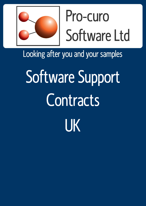

## Pro-curo Software Ltd

Looking after you and your samples

# Software Support **Contracts** UK